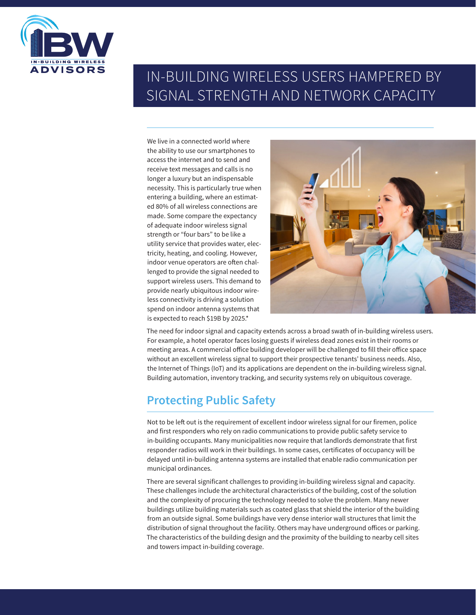

# IN-BUILDING WIRELESS USERS HAMPERED BY SIGNAL STRENGTH AND NETWORK CAPACITY

We live in a connected world where the ability to use our smartphones to access the internet and to send and receive text messages and calls is no longer a luxury but an indispensable necessity. This is particularly true when entering a building, where an estimated 80% of all wireless connections are made. Some compare the expectancy of adequate indoor wireless signal strength or "four bars" to be like a utility service that provides water, electricity, heating, and cooling. However, indoor venue operators are often challenged to provide the signal needed to support wireless users. This demand to provide nearly ubiquitous indoor wireless connectivity is driving a solution spend on indoor antenna systems that is expected to reach \$19B by 2025.\*



The need for indoor signal and capacity extends across a broad swath of in-building wireless users. For example, a hotel operator faces losing guests if wireless dead zones exist in their rooms or meeting areas. A commercial office building developer will be challenged to fill their office space without an excellent wireless signal to support their prospective tenants' business needs. Also, the Internet of Things (IoT) and its applications are dependent on the in-building wireless signal. Building automation, inventory tracking, and security systems rely on ubiquitous coverage.

## **Protecting Public Safety**

Not to be left out is the requirement of excellent indoor wireless signal for our firemen, police and first responders who rely on radio communications to provide public safety service to in-building occupants. Many municipalities now require that landlords demonstrate that first responder radios will work in their buildings. In some cases, certificates of occupancy will be delayed until in-building antenna systems are installed that enable radio communication per municipal ordinances.

There are several significant challenges to providing in-building wireless signal and capacity. These challenges include the architectural characteristics of the building, cost of the solution and the complexity of procuring the technology needed to solve the problem. Many newer buildings utilize building materials such as coated glass that shield the interior of the building from an outside signal. Some buildings have very dense interior wall structures that limit the distribution of signal throughout the facility. Others may have underground offices or parking. The characteristics of the building design and the proximity of the building to nearby cell sites and towers impact in-building coverage.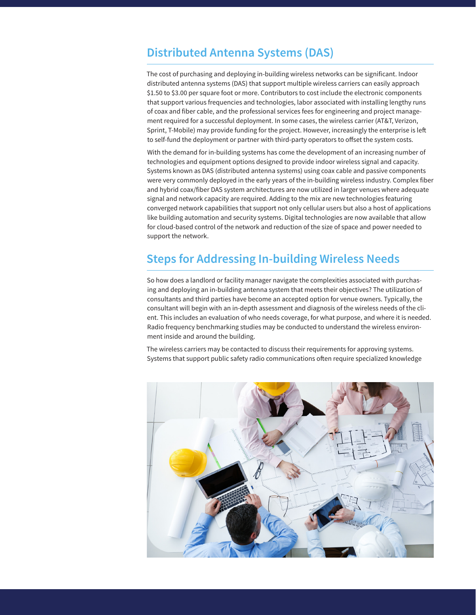### **Distributed Antenna Systems (DAS)**

The cost of purchasing and deploying in-building wireless networks can be significant. Indoor distributed antenna systems (DAS) that support multiple wireless carriers can easily approach \$1.50 to \$3.00 per square foot or more. Contributors to cost include the electronic components that support various frequencies and technologies, labor associated with installing lengthy runs of coax and fiber cable, and the professional services fees for engineering and project management required for a successful deployment. In some cases, the wireless carrier (AT&T, Verizon, Sprint, T-Mobile) may provide funding for the project. However, increasingly the enterprise is left to self-fund the deployment or partner with third-party operators to offset the system costs.

With the demand for in-building systems has come the development of an increasing number of technologies and equipment options designed to provide indoor wireless signal and capacity. Systems known as DAS (distributed antenna systems) using coax cable and passive components were very commonly deployed in the early years of the in-building wireless industry. Complex fiber and hybrid coax/fiber DAS system architectures are now utilized in larger venues where adequate signal and network capacity are required. Adding to the mix are new technologies featuring converged network capabilities that support not only cellular users but also a host of applications like building automation and security systems. Digital technologies are now available that allow for cloud-based control of the network and reduction of the size of space and power needed to support the network.

### **Steps for Addressing In-building Wireless Needs**

So how does a landlord or facility manager navigate the complexities associated with purchasing and deploying an in-building antenna system that meets their objectives? The utilization of consultants and third parties have become an accepted option for venue owners. Typically, the consultant will begin with an in-depth assessment and diagnosis of the wireless needs of the client. This includes an evaluation of who needs coverage, for what purpose, and where it is needed. Radio frequency benchmarking studies may be conducted to understand the wireless environment inside and around the building.

The wireless carriers may be contacted to discuss their requirements for approving systems. Systems that support public safety radio communications often require specialized knowledge